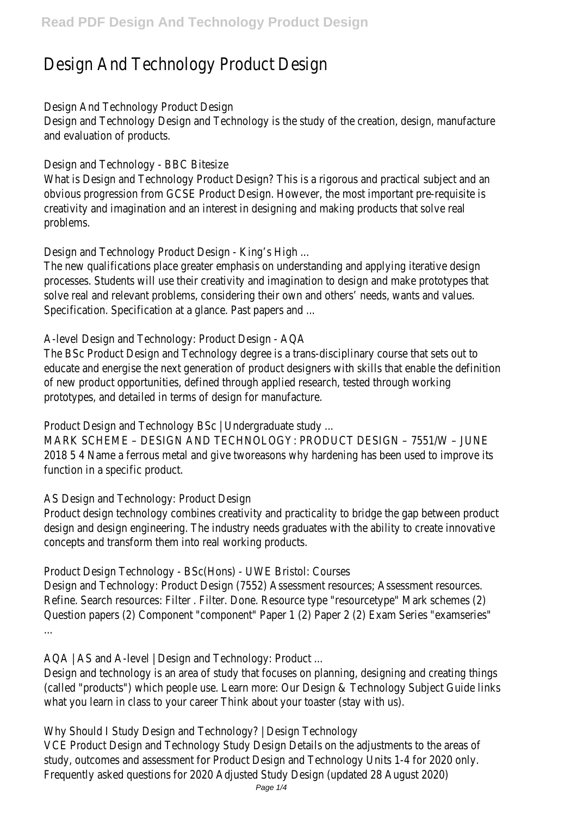## Design And Technology Product Design

Design And Technology Product Design

Design and Technology Design and Technology is the study of the creation, design, manu and evaluation of products.

Design and Technology - BBC Bitesize

What is Design and Technology Product Design? This is a rigorous and practical subject obvious progression from GCSE Product Design. However, the most important pre-requistion creativity and imagination and an interest in designing and making products that solve r problems.

Design and Technology Product Design - King's High ...

The new qualifications place greater emphasis on understanding and applying iterative designprocesses. Students will use their creativity and imagination to design and make prototy solve real and relevant problems, considering their own and others' needs, wants and va Specification. Specification at a glance. Past papers and ...

A-level Design and Technology: Product Design - AQA

The BSc Product Design and Technology degree is a trans-disciplinary course that sets out educate and energise the next generation of product designers with skills that enable the of new product opportunities, defined through applied research, tested through working prototypes, and detailed in terms of design for manufacture.

Product Design and Technology BSc | Undergraduate study ...

MARK SCHEME – DESIGN AND TECHNOLOGY: PRODUCT DESIGN – 7551/W – JUNE

2018 5 4 Name a ferrous metal and give tworeasons why hardening has been used to i function in a specific product.

AS Design and Technology: Product Design

Product design technology combines creativity and practicality to bridge the gap between design and design engineering. The industry needs graduates with the ability to create in concepts and transform them into real working products.

Product Design Technology - BSc(Hons) - UWE Bristol: Courses

Design and Technology: Product Design (7552) Assessment resources; Assessment reso Refine. Search resources: Filter . Filter. Done. Resource type "resourcetype" Mark scheme Question papers (2) Component "component" Paper 1 (2) Paper 2 (2) Exam Series "exan ...

AQA | AS and A-level | Design and Technology: Product ...

Design and technology is an area of study that focuses on planning, designing and creat (called "products") which people use. Learn more: Our Design & Technology Subject Guide what you learn in class to your career Think about your toaster (stay with us).

Why Should I Study Design and Technology? | Design Technology

VCE Product Design and Technology Study Design Details on the adjustments to the are study, outcomes and assessment for Product Design and Technology Units 1-4 for 2020 Frequently asked questions for 2020 Adjusted Study Design (updated 28 August 2020)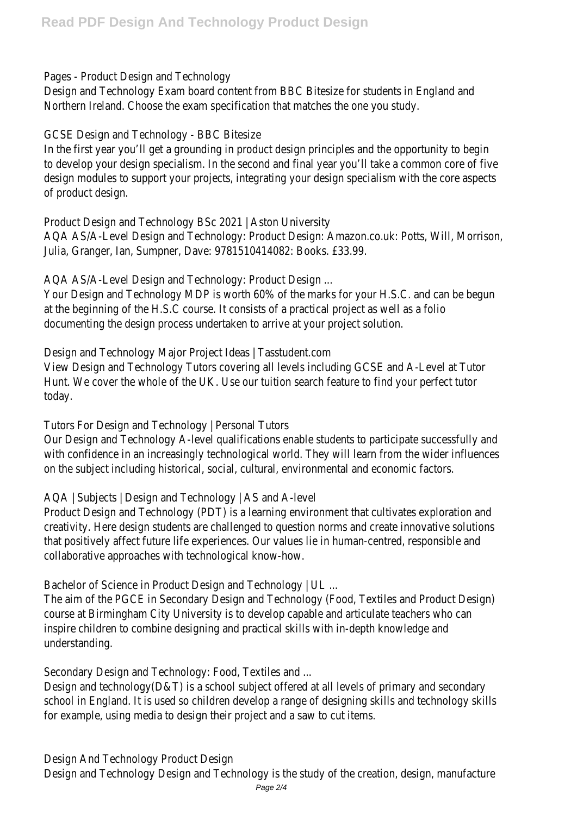Pages - Product Design and Technology

Design and Technology Exam board content from BBC Bitesize for students in England and Northern Ireland. Choose the exam specification that matches the one you study.

GCSE Design and Technology - BBC Bitesize

In the first year you'll get a grounding in product design principles and the opportunity to to develop your design specialism. In the second and final year you'll take a common cor design modules to support your projects, integrating your design specialism with the co of product design.

Product Design and Technology BSc 2021 | Aston University

AQA AS/A-Level Design and Technology: Product Design: Amazon.co.uk: Potts, Will, Morris Julia, Granger, Ian, Sumpner, Dave: 9781510414082: Books. £33.99.

AQA AS/A-Level Design and Technology: Product Design ...

Your Design and Technology MDP is worth 60% of the marks for your H.S.C. and can be at the beginning of the H.S.C course. It consists of a practical project as well as a folio documenting the design process undertaken to arrive at your project solution.

Design and Technology Major Project Ideas | Tasstudent.com

View Design and Technology Tutors covering all levels including GCSE and A-Level at Tuto Hunt. We cover the whole of the UK. Use our tuition search feature to find your perfect today.

Tutors For Design and Technology | Personal Tutors

Our Design and Technology A-level qualifications enable students to participate successf with confidence in an increasingly technological world. They will learn from the wider inf on the subject including historical, social, cultural, environmental and economic factors.

AQA | Subjects | Design and Technology | AS and A-level

Product Design and Technology (PDT) is a learning environment that cultivates exploration creativity. Here design students are challenged to question norms and create innovative that positively affect future life experiences. Our values lie in human-centred, responsibl collaborative approaches with technological know-how.

Bachelor of Science in Product Design and Technology | UL ...

The aim of the PGCE in Secondary Design and Technology (Food, Textiles and Product De course at Birmingham City University is to develop capable and articulate teachers who inspire children to combine designing and practical skills with in-depth knowledge and understanding.

Secondary Design and Technology: Food, Textiles and ...

Design and technology(D&T) is a school subject offered at all levels of primary and secor school in England. It is used so children develop a range of designing skills and technolog for example, using media to design their project and a saw to cut items.

Design And Technology Product Design

Design and Technology Design and Technology is the study of the creation, design, manu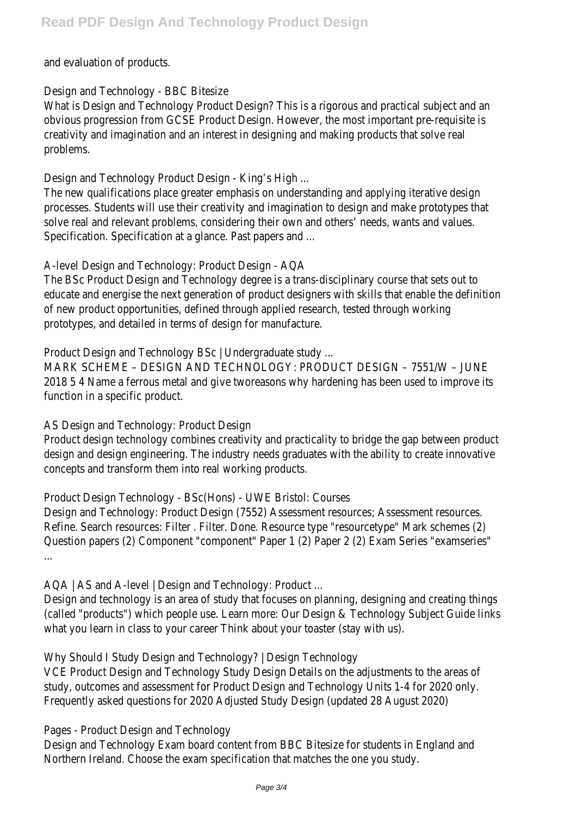and evaluation of products.

Design and Technology - BBC Bitesize

What is Design and Technology Product Design? This is a rigorous and practical subject obvious progression from GCSE Product Design. However, the most important pre-requistion creativity and imagination and an interest in designing and making products that solve r problems.

Design and Technology Product Design - King's High ...

The new qualifications place greater emphasis on understanding and applying iterative designprocesses. Students will use their creativity and imagination to design and make prototy solve real and relevant problems, considering their own and others' needs, wants and va Specification. Specification at a glance. Past papers and ...

A-level Design and Technology: Product Design - AQA

The BSc Product Design and Technology degree is a trans-disciplinary course that sets out educate and energise the next generation of product designers with skills that enable the of new product opportunities, defined through applied research, tested through working prototypes, and detailed in terms of design for manufacture.

Product Design and Technology BSc | Undergraduate study ...

MARK SCHEME – DESIGN AND TECHNOLOGY: PRODUCT DESIGN – 7551/W – JUNE

2018 5 4 Name a ferrous metal and give tworeasons why hardening has been used to i function in a specific product.

AS Design and Technology: Product Design

Product design technology combines creativity and practicality to bridge the gap betwe design and design engineering. The industry needs graduates with the ability to create in concepts and transform them into real working products.

Product Design Technology - BSc(Hons) - UWE Bristol: Courses

Design and Technology: Product Design (7552) Assessment resources; Assessment reso Refine. Search resources: Filter . Filter. Done. Resource type "resourcetype" Mark scheme Question papers (2) Component "component" Paper 1 (2) Paper 2 (2) Exam Series "exam ...

AQA | AS and A-level | Design and Technology: Product ...

Design and technology is an area of study that focuses on planning, designing and creat (called "products") which people use. Learn more: Our Design & Technology Subject Guide what you learn in class to your career Think about your toaster (stay with us).

Why Should I Study Design and Technology? | Design Technology

VCE Product Design and Technology Study Design Details on the adjustments to the are study, outcomes and assessment for Product Design and Technology Units 1-4 for 2020 Frequently asked questions for 2020 Adjusted Study Design (updated 28 August 2020)

Pages - Product Design and Technology

Design and Technology Exam board content from BBC Bitesize for students in England and Northern Ireland. Choose the exam specification that matches the one you study.